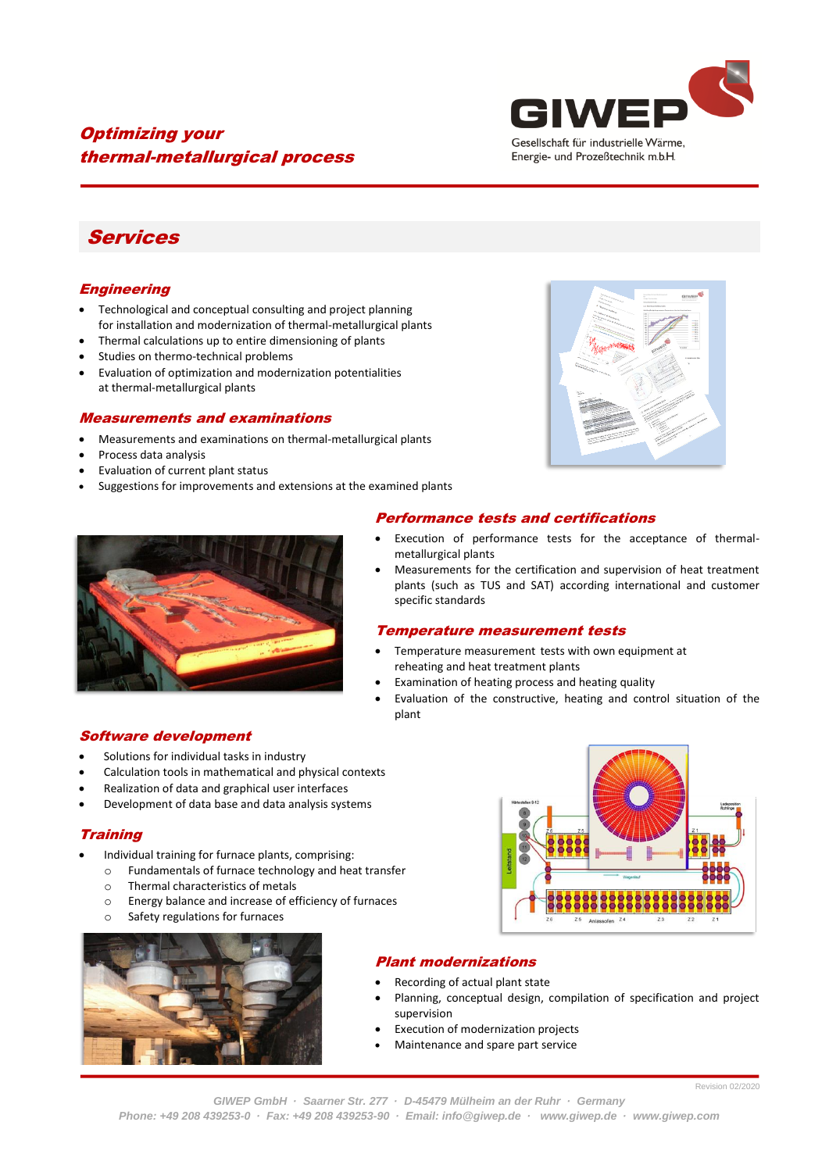

## Optimizing your thermal-metallurgical process

# Services

#### **Engineering**

- Technological and conceptual consulting and project planning for installation and modernization of thermal-metallurgical plants
- Thermal calculations up to entire dimensioning of plants
- Studies on thermo-technical problems
- Evaluation of optimization and modernization potentialities at thermal-metallurgical plants

#### Measurements and examinations

- Measurements and examinations on thermal-metallurgical plants
- Process data analysis
- Evaluation of current plant status
- Suggestions for improvements and extensions at the examined plants





#### Software development

- Solutions for individual tasks in industry
- Calculation tools in mathematical and physical contexts
- Realization of data and graphical user interfaces
- Development of data base and data analysis systems

#### **Training**

- Individual training for furnace plants, comprising:
	- o Fundamentals of furnace technology and heat transfer
	- o Thermal characteristics of metals
	- o Energy balance and increase of efficiency of furnaces
	- o Safety regulations for furnaces





### Plant modernizations

- Recording of actual plant state
- Planning, conceptual design, compilation of specification and project supervision
- Execution of modernization projects
- Maintenance and spare part service

*Phone: +49 208 439253-0 · Fax: +49 208 439253-90 · Email[: info@giwep.de](mailto:info@giwep.de) · [www.giwep.de](http://www.giwep.de/) · www.giwep.com*

#### Performance tests and certifications Execution of performance tests for the acceptance of thermal-

- metallurgical plants
- Measurements for the certification and supervision of heat treatment plants (such as TUS and SAT) according international and customer specific standards

#### Temperature measurement tests

- Temperature measurement tests with own equipment at reheating and heat treatment plants
- Examination of heating process and heating quality
- Evaluation of the constructive, heating and control situation of the plant

Revision 02/2020 *GIWEP GmbH · Saarner Str. 277 · D-45479 Mülheim an der Ruhr · Germany*